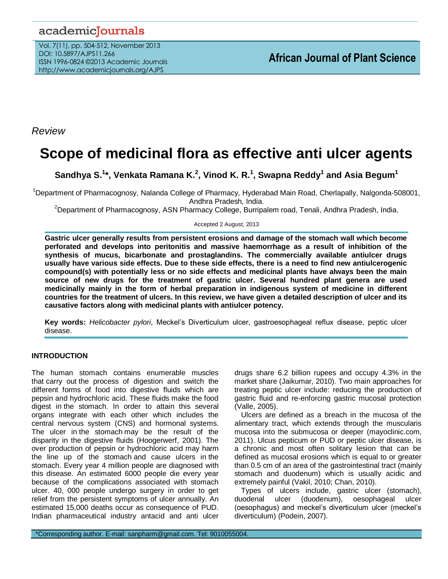# academicJournals

Vol. 7(11), pp. 504-512, November 2013 DOI: 10.5897/AJPS11.266 ISSN 1996-0824 ©2013 Academic Journals http://www.academicjournals.org/AJPS

*Review*

# **Scope of medicinal flora as effective anti ulcer agents**

**Sandhya S. 1 \*, Venkata Ramana K. 2 , Vinod K. R. 1 , Swapna Reddy<sup>1</sup> and Asia Begum<sup>1</sup>**

<sup>1</sup>Department of Pharmacognosy, Nalanda College of Pharmacy, Hyderabad Main Road, Cherlapally, Nalgonda-508001, Andhra Pradesh, India.

<sup>2</sup>Department of Pharmacognosy, ASN Pharmacy College, Burripalem road, Tenali, Andhra Pradesh, India.

Accepted 2 August, 2013

**Gastric ulcer generally results from persistent erosions and damage of the stomach wall which become perforated and develops into peritonitis and massive haemorrhage as a result of inhibition of the synthesis of mucus, bicarbonate and prostaglandins. The commercially available antiulcer drugs usually have various side effects. Due to these side effects, there is a need to find new antiulcerogenic compound(s) with potentially less or no side effects and medicinal plants have always been the main source of new drugs for the treatment of gastric ulcer. Several hundred plant genera are used medicinally mainly in the form of herbal preparation in indigenous system of medicine in different countries for the treatment of ulcers. In this review, we have given a detailed description of ulcer and its causative factors along with medicinal plants with antiulcer potency.**

**Key words:** *Helicobacter pylori*, Meckel's Diverticulum ulcer, gastroesophageal reflux disease, peptic ulcer disease.

# **INTRODUCTION**

The human stomach contains enumerable muscles that carry out the process of digestion and switch the different forms of food into digestive fluids which are pepsin and hydrochloric acid. These fluids make the food digest in the stomach. In order to attain this several organs integrate with each other which includes the central nervous system (CNS) and hormonal systems. The ulcer in the stomach may be the result of the disparity in the digestive fluids (Hoogerwerf, 2001). The over production of pepsin or hydrochloric acid may harm the line up of the stomach and cause ulcers in the stomach. Every year 4 million people are diagnosed with this disease. An estimated 6000 people die every year because of the complications associated with stomach ulcer. 40, 000 people undergo surgery in order to get relief from the persistent symptoms of ulcer annually. An estimated 15,000 deaths occur as consequence of PUD. Indian pharmaceutical industry antacid and anti ulcer

drugs share 6.2 billion rupees and occupy 4.3% in the market share (Jaikumar, 2010). Two main approaches for treating peptic ulcer include: reducing the production of gastric fluid and re-enforcing gastric mucosal protection (Valle, 2005).

Ulcers are defined as a breach in the mucosa of the alimentary tract, which extends through the muscularis mucosa into the submucosa or deeper (mayoclinic.com, 2011). Ulcus pepticum or PUD or peptic ulcer disease, is a chronic and most often solitary lesion that can be defined as mucosal erosions which is equal to or greater than 0.5 cm of an area of the gastrointestinal tract (mainly stomach and duodenum) which is usually acidic and extremely painful (Vakil, 2010; Chan, 2010).

Types of ulcers include, gastric ulcer (stomach), duodenal ulcer (duodenum), oesophageal ulcer (oesophagus) and meckel's diverticulum ulcer (meckel's diverticulum) (Podein, 2007).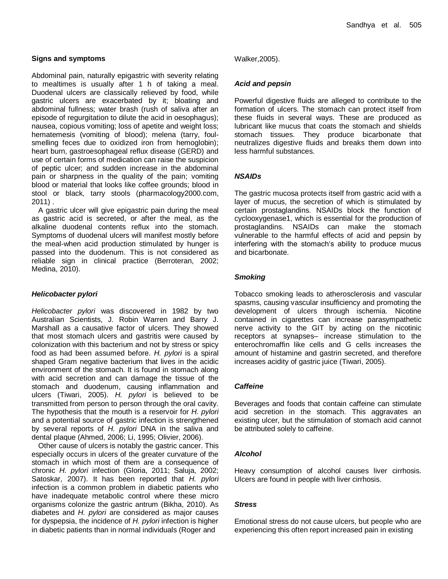Abdominal pain, naturally epigastric with severity relating to mealtimes is usually after 1 h of taking a meal. Duodenal ulcers are classically relieved by food, while gastric ulcers are exacerbated by it; bloating and abdominal fullness; water brash (rush of saliva after an episode of regurgitation to dilute the acid in oesophagus); nausea, copious vomiting; loss of apetite and weight loss; hematemesis (vomiting of blood); melena (tarry, foulsmelling feces due to oxidized iron from hemoglobin); heart burn, gastroesophageal reflux disease (GERD) and use of certain forms of medication can raise the suspicion of peptic ulcer; and sudden increase in the abdominal pain or sharpness in the quality of the pain; vomiting blood or material that looks like coffee grounds; blood in stool or black, tarry stools (pharmacology2000.com, 2011) .

A gastric ulcer will give epigastric pain during the meal as gastric acid is secreted, or after the meal, as the alkaline duodenal contents reflux into the stomach. Symptoms of duodenal ulcers will manifest mostly before the meal-when acid production stimulated by hunger is passed into the duodenum. This is not considered as reliable sign in clinical practice (Berroteran, 2002; Medina, 2010).

#### *Helicobacter pylori*

*Helicobacter pylori* was discovered in 1982 by two Australian Scientists, J. Robin Warren and Barry J. Marshall as a causative factor of ulcers. They showed that most stomach ulcers and gastritis were caused by colonization with this bacterium and not by stress or spicy food as had been assumed before. *H. pylori* is a spiral shaped Gram negative bacterium that lives in the acidic environment of the stomach. It is found in stomach along with acid secretion and can damage the tissue of the stomach and duodenum, causing inflammation and ulcers (Tiwari, 2005). *H. pylori* is believed to be transmitted from person to person through the oral cavity. The hypothesis that the mouth is a reservoir for *H. pylori*  and a potential source of gastric infection is strengthened by several reports of *H. pylori* DNA in the saliva and dental plaque (Ahmed, 2006; Li, 1995; Olivier, 2006).

Other cause of ulcers is notably the gastric cancer. This especially occurs in ulcers of the greater curvature of the stomach in which most of them are a consequence of chronic *H. pylori* infection (Gloria, 2011; Saluja, 2002; Satoskar, 2007). It has been reported that *H. pylori* infection is a common problem in diabetic patients who have inadequate metabolic control where these micro organisms colonize the gastric antrum (Bikha, 2010). As diabetes and *H. pylori* are considered as major causes for dyspepsia, the incidence of *H. pylori* infection is higher in diabetic patients than in normal individuals (Roger and

Walker,2005).

#### *Acid and pepsin*

Powerful digestive fluids are alleged to contribute to the formation of ulcers. The stomach can protect itself from these fluids in several ways. These are produced as lubricant like mucus that coats the stomach and shields stomach tissues. They produce bicarbonate that neutralizes digestive fluids and breaks them down into less harmful substances.

#### *NSAIDs*

The gastric mucosa protects itself from gastric acid with a layer of mucus, the secretion of which is stimulated by certain prostaglandins. NSAIDs block the function of cyclooxygenase1, which is essential for the production of prostaglandins. NSAIDs can make the stomach vulnerable to the harmful effects of acid and pepsin by interfering with the stomach's ability to produce mucus and bicarbonate.

#### *Smoking*

Tobacco smoking leads to atherosclerosis and vascular spasms, causing vascular insufficiency and promoting the development of ulcers through ischemia. Nicotine contained in cigarettes can increase parasympathetic nerve activity to the GIT by acting on the nicotinic receptors at synapses– increase stimulation to the enterochromaffin like cells and G cells increases the amount of histamine and gastrin secreted, and therefore increases acidity of gastric juice (Tiwari, 2005).

#### *Caffeine*

Beverages and foods that contain caffeine can stimulate acid secretion in the stomach. This aggravates an existing ulcer, but the stimulation of stomach acid cannot be attributed solely to caffeine.

#### *Alcohol*

Heavy consumption of alcohol causes liver cirrhosis. Ulcers are found in people with liver cirrhosis.

#### *Stress*

Emotional stress do not cause ulcers, but people who are experiencing this often report increased pain in existing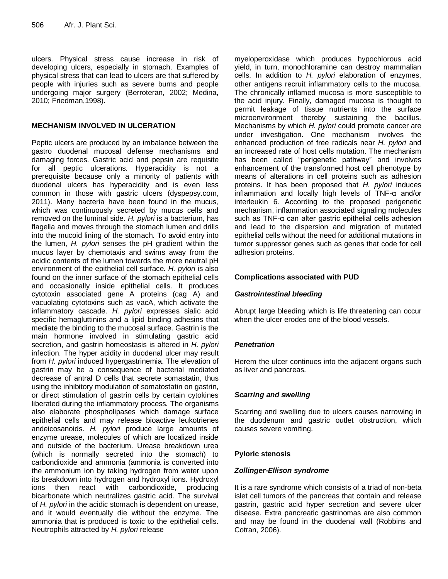ulcers. Physical stress cause increase in risk of developing ulcers, especially in stomach. Examples of physical stress that can lead to ulcers are that suffered by people with injuries such as severe burns and people undergoing major surgery (Berroteran, 2002; Medina, 2010; Friedman,1998).

#### **MECHANISM INVOLVED IN ULCERATION**

Peptic ulcers are produced by an imbalance between the gastro duodenal mucosal defense mechanisms and damaging forces. Gastric acid and pepsin are requisite for all peptic ulcerations. Hyperacidity is not a prerequisite because only a minority of patients with duodenal ulcers has hyperacidity and is even less common in those with gastric ulcers (dyspepsy.com, 2011). Many bacteria have been found in the mucus, which was continuously secreted by mucus cells and removed on the luminal side. *H. pylori* is a bacterium, has flagella and moves through the stomach lumen and drills into the mucoid lining of the stomach. To avoid entry into the lumen, *H. pylori* senses the pH gradient within the mucus layer by chemotaxis and swims away from the acidic contents of the lumen towards the more neutral pH environment of the epithelial cell surface*. H. pylori* is also found on the inner surface of the stomach epithelial cells and occasionally inside epithelial cells. It produces cytotoxin associated gene A proteins (cag A) and vacuolating cytotoxins such as vacA, which activate the inflammatory cascade. *H. pylori* expresses sialic acid specific hemagluttinins and a lipid binding adhesins that mediate the binding to the mucosal surface. Gastrin is the main hormone involved in stimulating gastric acid secretion, and gastrin homeostasis is altered in *H. pylori* infection. The hyper acidity in duodenal ulcer may result from *H. pylori* induced hypergastrinemia. The elevation of gastrin may be a consequence of bacterial mediated decrease of antral D cells that secrete somastatin, thus using the inhibitory modulation of somatostatin on gastrin, or direct stimulation of gastrin cells by certain cytokines liberated during the inflammatory process. The organisms also elaborate phospholipases which damage surface epithelial cells and may release bioactive leukotrienes andeicosanoids. *H. pylori* produce large amounts of enzyme urease, molecules of which are localized inside and outside of the bacterium. Urease breakdown urea (which is normally secreted into the stomach) to carbondioxide and ammonia (ammonia is converted into the ammonium ion by taking hydrogen from water upon its breakdown into hydrogen and hydroxyl ions. Hydroxyl ions then react with carbondioxide, producing bicarbonate which neutralizes gastric acid. The survival of *H. pylori* in the acidic stomach is dependent on urease, and it would eventually die without the enzyme. The ammonia that is produced is toxic to the epithelial cells. Neutrophils attracted by *H. pylori* release

myeloperoxidase which produces hypochlorous acid yield, in turn, monochloramine can destroy mammalian cells. In addition to *H. pylori* elaboration of enzymes, other antigens recruit inflammatory cells to the mucosa. The chronically inflamed mucosa is more susceptible to the acid injury. Finally, damaged mucosa is thought to permit leakage of tissue nutrients into the surface microenvironment thereby sustaining the bacillus. Mechanisms by which *H. pylori* could promote cancer are under investigation. One mechanism involves the enhanced production of free radicals near *H. pylori* and an increased rate of host cells mutation. The mechanism has been called "perigenetic pathway" and involves enhancement of the transformed host cell phenotype by means of alterations in cell proteins such as adhesion proteins. It has been proposed that *H. pylori* induces inflammation and locally high levels of TNF-α and/or interleukin 6. According to the proposed perigenetic mechanism, inflammation associated signaling molecules such as TNF-α can alter gastric epithelial cells adhesion and lead to the dispersion and migration of mutated epithelial cells without the need for additional mutations in tumor suppressor genes such as genes that code for cell adhesion proteins.

#### **Complications associated with PUD**

#### *Gastrointestinal bleeding*

Abrupt large bleeding which is life threatening can occur when the ulcer erodes one of the blood vessels.

#### *Penetration*

Herem the ulcer continues into the adjacent organs such as liver and pancreas.

#### *Scarring and swelling*

Scarring and swelling due to ulcers causes narrowing in the duodenum and gastric outlet obstruction, which causes severe vomiting.

#### **Pyloric stenosis**

#### *Zollinger-Ellison syndrome*

It is a rare syndrome which consists of a triad of non-beta islet cell tumors of the pancreas that contain and release gastrin, gastric acid hyper secretion and severe ulcer disease. Extra pancreatic gastrinomas are also common and may be found in the duodenal wall (Robbins and Cotran, 2006).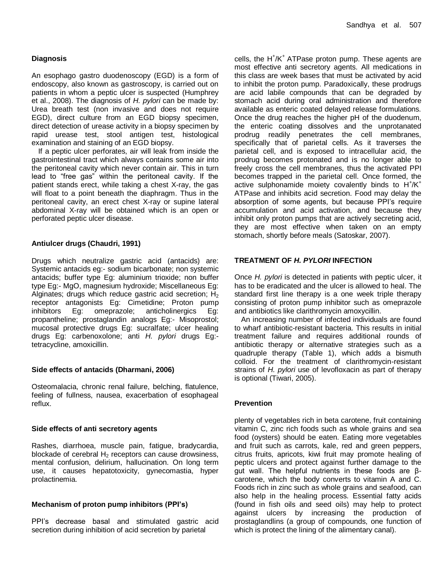# **Diagnosis**

An esophago gastro duodenoscopy (EGD) is a form of endoscopy, also known as gastroscopy, is carried out on patients in whom a peptic ulcer is suspected (Humphrey et al., 2008). The diagnosis of *H. pylori* can be made by: Urea breath test (non invasive and does not require EGD), direct culture from an EGD biopsy specimen, direct detection of urease activity in a biopsy specimen by rapid urease test, stool antigen test, histological examination and staining of an EGD biopsy.

If a peptic ulcer perforates, air will leak from inside the gastrointestinal tract which always contains some air into the peritoneal cavity which never contain air. This in turn lead to "free gas" within the peritoneal cavity. If the patient stands erect, while taking a chest X-ray, the gas will float to a point beneath the diaphragm. Thus in the peritoneal cavity, an erect chest X-ray or supine lateral abdominal X-ray will be obtained which is an open or perforated peptic ulcer disease.

# **Antiulcer drugs (Chaudri, 1991)**

Drugs which neutralize gastric acid (antacids) are: Systemic antacids eg:- sodium bicarbonate; non systemic antacids; buffer type Eg: aluminium trioxide; non buffer type Eg:- MgO, magnesium hydroxide; Miscellaneous Eg: Alginates; drugs which reduce gastric acid secretion;  $H_2$ receptor antagonists Eg: Cimetidine; Proton pump inhibitors Eg: omeprazole; anticholinergics Eg: propantheline; prostaglandin analogs Eg:- Misoprostol; mucosal protective drugs Eg: sucralfate; ulcer healing drugs Eg: carbenoxolone; anti *H. pylori* drugs Eg: tetracycline, amoxicillin.

#### **Side effects of antacids (Dharmani, 2006)**

Osteomalacia, chronic renal failure, belching, flatulence, feeling of fullness, nausea, exacerbation of esophageal reflux.

#### **Side effects of anti secretory agents**

Rashes, diarrhoea, muscle pain, fatigue, bradycardia, blockade of cerebral  $H_2$  receptors can cause drowsiness, mental confusion, delirium, hallucination. On long term use, it causes hepatotoxicity, gynecomastia, hyper prolactinemia.

#### **Mechanism of proton pump inhibitors (PPI's)**

PPI's decrease basal and stimulated gastric acid secretion during inhibition of acid secretion by parietal

cells, the H<sup>+</sup>/K<sup>+</sup> ATPase proton pump. These agents are most effective anti secretory agents. All medications in this class are week bases that must be activated by acid to inhibit the proton pump. Paradoxically, these prodrugs are acid labile compounds that can be degraded by stomach acid during oral administration and therefore available as enteric coated delayed release formulations. Once the drug reaches the higher pH of the duodenum, the enteric coating dissolves and the unprotanated prodrug readily penetrates the cell membranes, specifically that of parietal cells. As it traverses the parietal cell, and is exposed to intracellular acid, the prodrug becomes protonated and is no longer able to freely cross the cell membranes, thus the activated PPI becomes trapped in the parietal cell. Once formed, the active sulphonamide moiety covalently binds to  $H^{\dagger}/K^{\dagger}$ ATPase and inhibits acid secretion. Food may delay the absorption of some agents, but because PPI's require accumulation and acid activation, and because they inhibit only proton pumps that are actively secreting acid, they are most effective when taken on an empty stomach, shortly before meals (Satoskar, 2007).

# **TREATMENT OF** *H. PYLORI* **INFECTION**

Once *H. pylori* is detected in patients with peptic ulcer, it has to be eradicated and the ulcer is allowed to heal. The standard first line therapy is a one week triple therapy consisting of proton pump inhibitor such as omeprazole and antibiotics like clarithromycin amoxycillin.

An increasing number of infected individuals are found to wharf antibiotic-resistant bacteria. This results in initial treatment failure and requires additional rounds of antibiotic therapy or alternative strategies such as a quadruple therapy (Table 1), which adds a bismuth colloid. For the treatment of clarithromycin-resistant strains of *H. pylori* use of levofloxacin as part of therapy is optional (Tiwari, 2005).

#### **Prevention**

plenty of vegetables rich in beta carotene, fruit containing vitamin C, zinc rich foods such as whole grains and sea food (oysters) should be eaten. Eating more vegetables and fruit such as carrots, kale, red and green peppers, citrus fruits, apricots, kiwi fruit may promote healing of peptic ulcers and protect against further damage to the gut wall. The helpful nutrients in these foods are βcarotene, which the body converts to vitamin A and C. Foods rich in zinc such as whole grains and seafood, can also help in the healing process. Essential fatty acids (found in fish oils and seed oils) may help to protect against ulcers by increasing the production of prostaglandlins (a group of compounds, one function of which is protect the lining of the alimentary canal).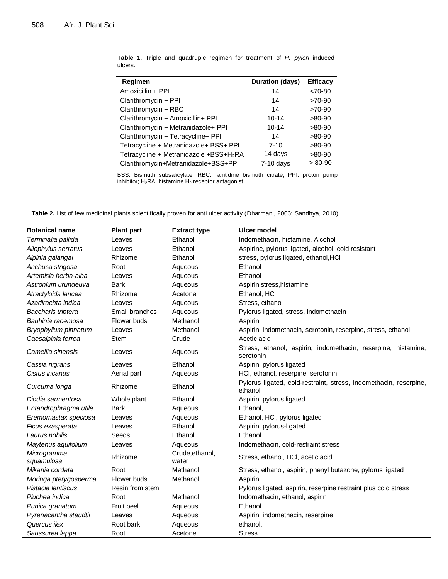| Regimen                                             | <b>Duration (days)</b> | <b>Efficacy</b> |
|-----------------------------------------------------|------------------------|-----------------|
| Amoxicillin + PPI                                   | 14                     | $< 70 - 80$     |
| Clarithromycin + PPI                                | 14                     | $>70-90$        |
| Clarithromycin + RBC                                | 14                     | $>70-90$        |
| Clarithromycin + Amoxicillin+ PPI                   | $10 - 14$              | $>80-90$        |
| Clarithromycin + Metranidazole+ PPI                 | $10 - 14$              | $>80-90$        |
| Clarithromycin + Tetracycline+ PPI                  | 14                     | $>80-90$        |
| Tetracycline + Metranidazole+ BSS+ PPI              | $7 - 10$               | $>80-90$        |
| Tetracycline + Metranidazole +BSS+H <sub>2</sub> RA | 14 days                | $>80-90$        |
| Clarithromycin+Metranidazole+BSS+PPI                | $7-10$ days            | $> 80-90$       |

**Table 1.** Triple and quadruple regimen for treatment of *H. pylori* induced ulcers.

BSS: Bismuth subsalicylate; RBC: ranitidine bismuth citrate; PPI: proton pump inhibitor;  $H_2RA$ : histamine  $H_2$  receptor antagonist.

**Table 2.** List of few medicinal plants scientifically proven for anti ulcer activity (Dharmani, 2006; Sandhya, 2010).

| <b>Botanical name</b>     | <b>Plant part</b> | <b>Extract type</b>      | Ulcer model                                                                  |
|---------------------------|-------------------|--------------------------|------------------------------------------------------------------------------|
| Terminalia pallida        | Leaves            | Ethanol                  | Indomethacin, histamine, Alcohol                                             |
| Allophylus serratus       | Leaves            | Ethanol                  | Aspirine, pylorus ligated, alcohol, cold resistant                           |
| Alpinia galangal          | Rhizome           | Ethanol                  | stress, pylorus ligated, ethanol, HCl                                        |
| Anchusa strigosa          | Root              | Aqueous                  | Ethanol                                                                      |
| Artemisia herba-alba      | Leaves            | Aqueous                  | Ethanol                                                                      |
| Astronium urundeuva       | <b>Bark</b>       | Aqueous                  | Aspirin, stress, histamine                                                   |
| Atractyloids lancea       | Rhizome           | Acetone                  | Ethanol, HCI                                                                 |
| Azadirachta indica        | Leaves            | Aqueous                  | Stress, ethanol                                                              |
| Baccharis triptera        | Small branches    | Aqueous                  | Pylorus ligated, stress, indomethacin                                        |
| Bauhinia racemosa         | Flower buds       | Methanol                 | Aspirin                                                                      |
| Bryophyllum pinnatum      | Leaves            | Methanol                 | Aspirin, indomethacin, serotonin, reserpine, stress, ethanol,                |
| Caesalpinia ferrea        | <b>Stem</b>       | Crude                    | Acetic acid                                                                  |
| Camellia sinensis         | Leaves            | Aqueous                  | Stress, ethanol, aspirin, indomethacin, reserpine, histamine,<br>serotonin   |
| Cassia nigrans            | Leaves            | Ethanol                  | Aspirin, pylorus ligated                                                     |
| Cistus incanus            | Aerial part       | Aqueous                  | HCl, ethanol, reserpine, serotonin                                           |
| Curcuma longa             | Rhizome           | Ethanol                  | Pylorus ligated, cold-restraint, stress, indomethacin, reserpine,<br>ethanol |
| Diodia sarmentosa         | Whole plant       | Ethanol                  | Aspirin, pylorus ligated                                                     |
| Entandrophragma utile     | <b>Bark</b>       | Aqueous                  | Ethanol,                                                                     |
| Eremomastax speciosa      | Leaves            | Aqueous                  | Ethanol, HCl, pylorus ligated                                                |
| Ficus exasperata          | Leaves            | Ethanol                  | Aspirin, pylorus-ligated                                                     |
| Laurus nobilis            | Seeds             | Ethanol                  | Ethanol                                                                      |
| Maytenus aquifolium       | Leaves            | Aqueous                  | Indomethacin, cold-restraint stress                                          |
| Microgramma<br>squamulosa | Rhizome           | Crude, ethanol,<br>water | Stress, ethanol, HCI, acetic acid                                            |
| Mikania cordata           | Root              | Methanol                 | Stress, ethanol, aspirin, phenyl butazone, pylorus ligated                   |
| Moringa pterygosperma     | Flower buds       | Methanol                 | Aspirin                                                                      |
| Pistacia lentiscus        | Resin from stem   |                          | Pylorus ligated, aspirin, reserpine restraint plus cold stress               |
| Pluchea indica            | Root              | Methanol                 | Indomethacin, ethanol, aspirin                                               |
| Punica granatum           | Fruit peel        | Aqueous                  | Ethanol                                                                      |
| Pyrenacantha staudtii     | Leaves            | Aqueous                  | Aspirin, indomethacin, reserpine                                             |
| Quercus ilex              | Root bark         | Aqueous                  | ethanol,                                                                     |
| Saussurea lappa           | Root              | Acetone                  | <b>Stress</b>                                                                |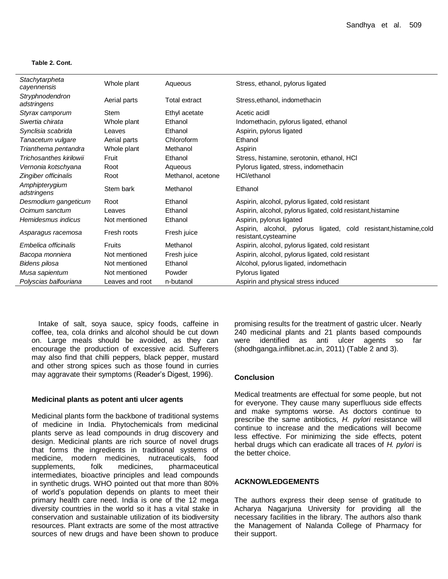#### **Table 2. Cont.**

| Stachytarpheta<br>cayennensis  | Whole plant     | Aqueous              | Stress, ethanol, pylorus ligated                                                               |
|--------------------------------|-----------------|----------------------|------------------------------------------------------------------------------------------------|
| Stryphnodendron<br>adstringens | Aerial parts    | <b>Total extract</b> | Stress, ethanol, indomethacin                                                                  |
| Styrax camporum                | <b>Stem</b>     | Ethyl acetate        | Acetic acidl                                                                                   |
| Swertia chirata                | Whole plant     | Ethanol              | Indomethacin, pylorus ligated, ethanol                                                         |
| Synclisia scabrida             | Leaves          | Ethanol              | Aspirin, pylorus ligated                                                                       |
| Tanacetum vulgare              | Aerial parts    | Chloroform           | Ethanol                                                                                        |
| Trianthema pentandra           | Whole plant     | Methanol             | Aspirin                                                                                        |
| Trichosanthes kirilowii        | Fruit           | Ethanol              | Stress, histamine, serotonin, ethanol, HCI                                                     |
| Vernonia kotschyana            | Root            | Aqueous              | Pylorus ligated, stress, indomethacin                                                          |
| Zingiber officinalis           | Root            | Methanol, acetone    | HCl/ethanol                                                                                    |
| Amphipterygium<br>adstringens  | Stem bark       | Methanol             | Ethanol                                                                                        |
| Desmodium gangeticum           | Root            | Ethanol              | Aspirin, alcohol, pylorus ligated, cold resistant                                              |
| Ocimum sanctum                 | Leaves          | Ethanol              | Aspirin, alcohol, pylorus ligated, cold resistant, histamine                                   |
| Hemidesmus indicus             | Not mentioned   | Ethanol              | Aspirin, pylorus ligated                                                                       |
| Asparagus racemosa             | Fresh roots     | Fresh juice          | Aspirin, alcohol, pylorus<br>ligated, cold resistant, histamine, cold<br>resistant, cysteamine |
| Embelica officinalis           | Fruits          | Methanol             | Aspirin, alcohol, pylorus ligated, cold resistant                                              |
| Bacopa monniera                | Not mentioned   | Fresh juice          | Aspirin, alcohol, pylorus ligated, cold resistant                                              |
| Bidens pilosa                  | Not mentioned   | Ethanol              | Alcohol, pylorus ligated, indomethacin                                                         |
| Musa sapientum                 | Not mentioned   | Powder               | Pylorus ligated                                                                                |
| Polyscias balfouriana          | Leaves and root | n-butanol            | Aspirin and physical stress induced                                                            |

Intake of salt, soya sauce, spicy foods, caffeine in coffee, tea, cola drinks and alcohol should be cut down on. Large meals should be avoided, as they can encourage the production of excessive acid. Sufferers may also find that chilli peppers, black pepper, mustard and other strong spices such as those found in curries may aggravate their symptoms (Reader's Digest, 1996).

#### **Medicinal plants as potent anti ulcer agents**

Medicinal plants form the backbone of traditional systems of medicine in India. Phytochemicals from medicinal plants serve as lead compounds in drug discovery and design. Medicinal plants are rich source of novel drugs that forms the ingredients in traditional systems of medicine, modern medicines, nutraceuticals, food supplements, folk medicines, pharmaceutical intermediates, bioactive principles and lead compounds in synthetic drugs. WHO pointed out that more than 80% of world's population depends on plants to meet their primary health care need. India is one of the 12 mega diversity countries in the world so it has a vital stake in conservation and sustainable utilization of its biodiversity resources. Plant extracts are some of the most attractive sources of new drugs and have been shown to produce

promising results for the treatment of gastric ulcer. Nearly 240 medicinal plants and 21 plants based compounds were identified as anti ulcer agents so far (shodhganga.inflibnet.ac.in, 2011) (Table 2 and 3).

#### **Conclusion**

Medical treatments are effectual for some people, but not for everyone. They cause many superfluous side effects and make symptoms worse. As doctors continue to prescribe the same antibiotics, *H. pylori* resistance will continue to increase and the medications will become less effective. For minimizing the side effects, potent herbal drugs which can eradicate all traces of *H. pylori* is the better choice.

#### **ACKNOWLEDGEMENTS**

The authors express their deep sense of gratitude to Acharya Nagarjuna University for providing all the necessary facilities in the library. The authors also thank the Management of Nalanda College of Pharmacy for their support.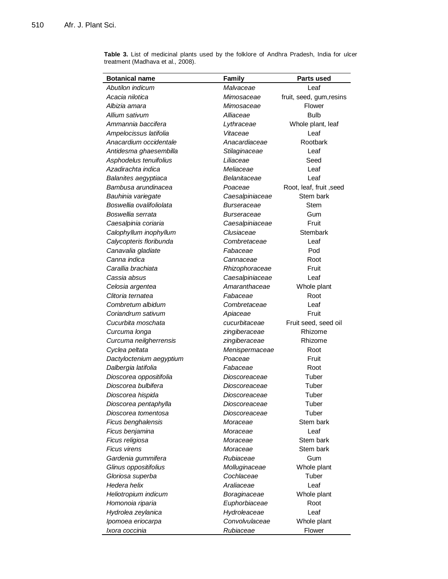**Table 3.** List of medicinal plants used by the folklore of Andhra Pradesh, India for ulcer treatment (Madhava et al., 2008).

| Botanical name           | Family          | <b>Parts used</b>        |
|--------------------------|-----------------|--------------------------|
| Abutilon indicum         | Malvaceae       | Leaf                     |
| Acacia nilotica          | Mimosaceae      | fruit, seed, gum, resins |
| Albizia amara            | Mimosaceae      | Flower                   |
| Allium sativum           | Alliaceae       | <b>Bulb</b>              |
| Ammannia baccifera       | Lythraceae      | Whole plant, leaf        |
| Ampelocissus latifolia   | Vitaceae        | Leaf                     |
| Anacardium occidentale   | Anacardiaceae   | Rootbark                 |
| Antidesma ghaesembilla   | Stilaginaceae   | Leaf                     |
| Asphodelus tenuifolius   | Liliaceae       | Seed                     |
| Azadirachta indica       | Meliaceae       | Leaf                     |
| Balanites aegyptiaca     | Belanitaceae    | Leaf                     |
| Bambusa arundinacea      | Poaceae         | Root, leaf, fruit, seed  |
| Bauhinia variegate       | Caesalpiniaceae | Stem bark                |
| Boswellia ovalifoliolata | Burseraceae     | Stem                     |
| Boswellia serrata        | Burseraceae     | Gum                      |
| Caesalpinia coriaria     | Caesalpiniaceae | Fruit                    |
| Calophyllum inophyllum   | Clusiaceae      | Stembark                 |
| Calycopteris floribunda  | Combretaceae    | Leaf                     |
| Canavalia gladiate       | Fabaceae        | Pod                      |
| Canna indica             | Cannaceae       | Root                     |
| Carallia brachiata       | Rhizophoraceae  | Fruit                    |
| Cassia absus             | Caesalpiniaceae | Leaf                     |
| Celosia argentea         | Amaranthaceae   | Whole plant              |
| Clitoria ternatea        | Fabaceae        | Root                     |
| Combretum albidum        | Combretaceae    | Leaf                     |
| Coriandrum sativum       | Apiaceae        | Fruit                    |
| Cucurbita moschata       | cucurbitaceae   | Fruit seed, seed oil     |
| Curcuma longa            | zingiberaceae   | Rhizome                  |
| Curcuma neilgherrensis   | zingiberaceae   | Rhizome                  |
| Cyclea peltata           | Menispermaceae  | Root                     |
| Dactyloctenium aegyptium | Poaceae         | Fruit                    |
| Dalbergia latifolia      | Fabaceae        | Root                     |
| Dioscorea oppositifolia  | Dioscoreaceae   | Tuber                    |
| Dioscorea bulbifera      | Dioscoreaceae   | Tuber                    |
| Dioscorea hispida        | Dioscoreaceae   | Tuber                    |
| Dioscorea pentaphylla    | Dioscoreaceae   | Tuber                    |
| Dioscorea tomentosa      | Dioscoreaceae   | Tuber                    |
| Ficus benghalensis       | Moraceae        | Stem bark                |
| Ficus benjamina          | Moraceae        | Leaf                     |
| Ficus religiosa          | Moraceae        | Stem bark                |
| <b>Ficus virens</b>      | Moraceae        | Stem bark                |
| Gardenia gummifera       | Rubiaceae       | Gum                      |
| Glinus oppositifolius    | Molluginaceae   | Whole plant              |
| Gloriosa superba         | Cochlaceae      | Tuber                    |
| Hedera helix             | Araliaceae      | Leaf                     |
| Heliotropium indicum     | Boraginaceae    | Whole plant              |
| Homonoia riparia         | Euphorbiaceae   | Root                     |
| Hydrolea zeylanica       | Hydroleaceae    | Leaf                     |
| Ipomoea eriocarpa        | Convolvulaceae  | Whole plant              |
| Ixora coccinia           | Rubiaceae       | Flower                   |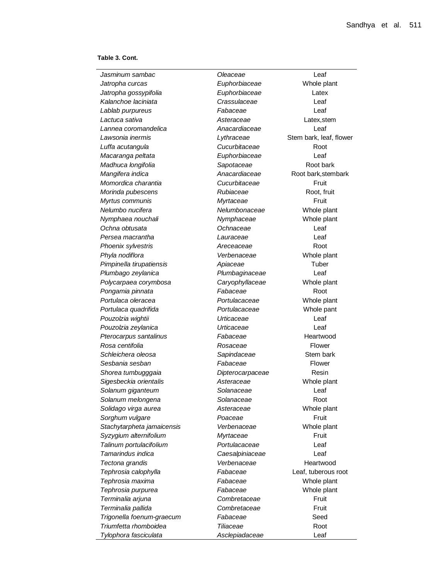**Table 3. Cont.**

*Jasminum sambac Oleaceae* Leaf *Jatropha curcas Euphorbiaceae* Whole plant *Jatropha gossypifolia Euphorbiaceae* Latex *Kalanchoe laciniata Crassulaceae* Leaf *Lablab purpureus Fabaceae* Leaf *Lactuca sativa Asteraceae* Latex,stem *Lannea coromandelica Anacardiaceae* Leaf *Lawsonia inermis Lythraceae* Stem bark, leaf, flower *Luffa acutangula Cucurbitaceae* Root *Macaranga peltata Euphorbiaceae* Leaf *Madhuca longifolia Sapotaceae* Root bark *Mangifera indica Anacardiaceae* Root bark,stembark *Momordica charantia Cucurbitaceae* Fruit *Morinda pubescens Rubiaceae* Root, fruit *Myrtus communis Myrtaceae* Fruit *Nelumbo nucifera Nelumbonaceae* Whole plant *Nymphaea nouchali Nymphaceae* Whole plant *Ochna obtusata Ochnaceae* Leaf *Persea macrantha Lauraceae* Leaf **Phoenix sylvestris** *Areceaceae* **Root** *Phyla nodiflora Verbenaceae* Whole plant *Pimpinella tirupatiensis Apiaceae* Tuber *Plumbago zeylanica Plumbaginaceae* Leaf *Polycarpaea corymbosa Caryophyllaceae* Whole plant Pongamia pinnata *Fabaceae* Root *Portulaca oleracea Portulacaceae* Whole plant *Portulaca quadrifida Portulacaceae* Whole pant *Pouzolzia wightii Urticaceae* Leaf *Pouzolzia zeylanica Urticaceae* Leaf **Pterocarpus santalinus** *Fabaceae* **Heartwood Heartwood** *Rosa centifolia Rosaceae* Flower **Schleichera oleosa Sapindaceae** Stem bark *Sesbania sesban Fabaceae* Flower *Shorea tumbugggaia Dipterocarpaceae* Resin *Sigesbeckia orientalis Asteraceae* Whole plant *Solanum giganteum Solanaceae* Leaf **Solanum melongena** *Solanaceae* **Root** *Solidago virga aurea Asteraceae* Whole plant **Sorghum vulgare** *Poaceae* **Fruit** *Stachytarpheta jamaicensis Verbenaceae* Whole plant *Syzygium alternifolium Myrtaceae* Fruit *Talinum portulacifolium Portulacaceae* Leaf *Tamarindus indica Caesalpiniaceae* Leaf **Tectona grandis** *Verbenaceae* Heartwood *Tephrosia calophylla Tephrosia maxima Tephrosia purpurea Fabaceae* Whole plant *Terminalia arjuna Combretaceae* Fruit *Terminalia pallida Combretaceae* Fruit *Trigonella foenum-graecum Fabaceae* Seed *Triumfetta rhomboidea Tiliaceae* Root *Tylophora fasciculata Asclepiadaceae* Leaf

*Fabaceae Fabaceae*

Leaf, tuberous root Whole plant